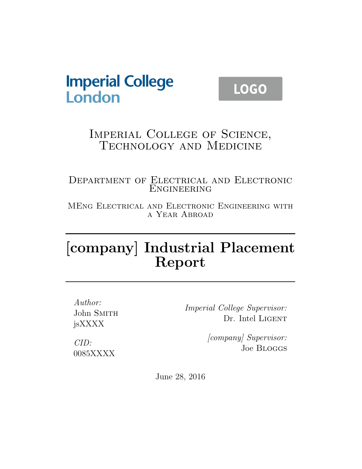# **Imperial College** London



### Imperial College of Science, Technology and Medicine

Department of Electrical and Electronic **ENGINEERING** 

MEng Electrical and Electronic Engineering with a Year Abroad

# [company] Industrial Placement Report

Author: John SMITH jsXXXX

Imperial College Supervisor: Dr. Intel LIGENT

CID: 0085XXXX [company] Supervisor: Joe Bloggs

June 28, 2016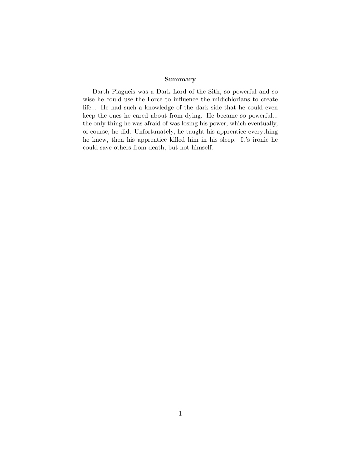#### Summary

Darth Plagueis was a Dark Lord of the Sith, so powerful and so wise he could use the Force to influence the midichlorians to create life... He had such a knowledge of the dark side that he could even keep the ones he cared about from dying. He became so powerful... the only thing he was afraid of was losing his power, which eventually, of course, he did. Unfortunately, he taught his apprentice everything he knew, then his apprentice killed him in his sleep. It's ironic he could save others from death, but not himself.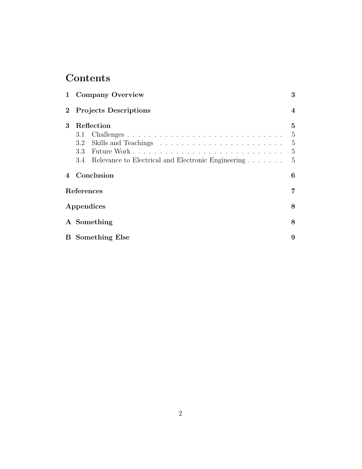## Contents

|   | 1 Company Overview                                                     | 3                                          |
|---|------------------------------------------------------------------------|--------------------------------------------|
|   | 2 Projects Descriptions                                                | $\overline{4}$                             |
| 3 | Reflection<br>3.1                                                      | $\overline{5}$<br>5<br>$\overline{5}$<br>5 |
|   | 3.4 Relevance to Electrical and Electronic Engineering<br>4 Conclusion | $\overline{5}$<br>6                        |
|   | References                                                             | 7                                          |
|   | Appendices                                                             | 8                                          |
|   | A Something                                                            | 8                                          |
|   | <b>B</b> Something Else                                                | 9                                          |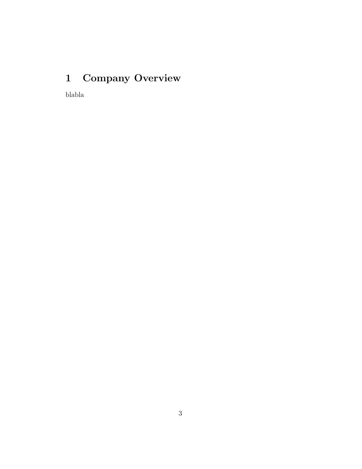# 1 Company Overview

blabla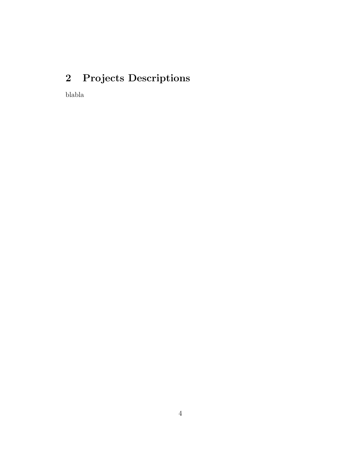# 2 Projects Descriptions

blabla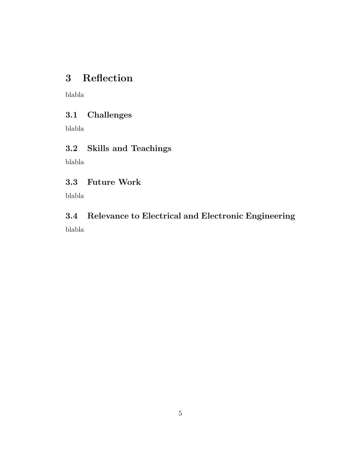### 3 Reflection

blabla

#### 3.1 Challenges

blabla

#### 3.2 Skills and Teachings

blabla

#### 3.3 Future Work

blabla

#### 3.4 Relevance to Electrical and Electronic Engineering blabla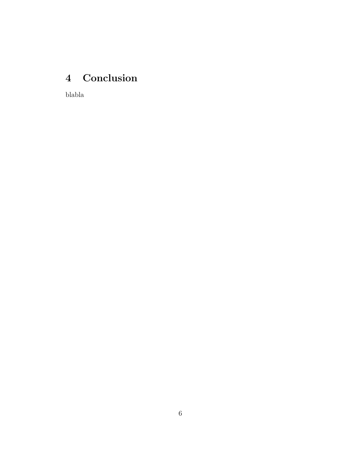## 4 Conclusion

blabla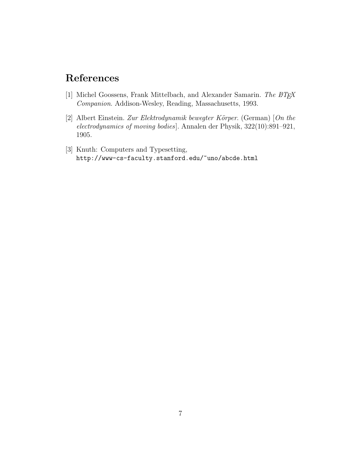#### References

- [1] Michel Goossens, Frank Mittelbach, and Alexander Samarin. The  $BT_FX$ Companion. Addison-Wesley, Reading, Massachusetts, 1993.
- [2] Albert Einstein. Zur Elektrodynamik bewegter Körper. (German) [On the electrodynamics of moving bodies]. Annalen der Physik, 322(10):891–921, 1905.
- [3] Knuth: Computers and Typesetting, http://www-cs-faculty.stanford.edu/~uno/abcde.html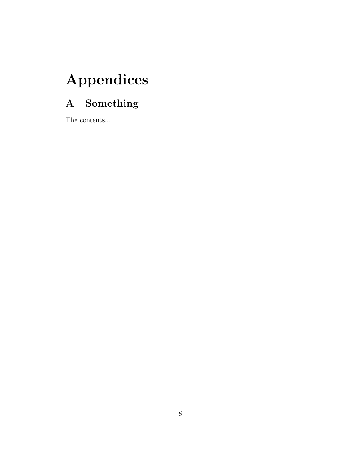# Appendices

#### ${\bf A}$ Something

The contents...  $\,$